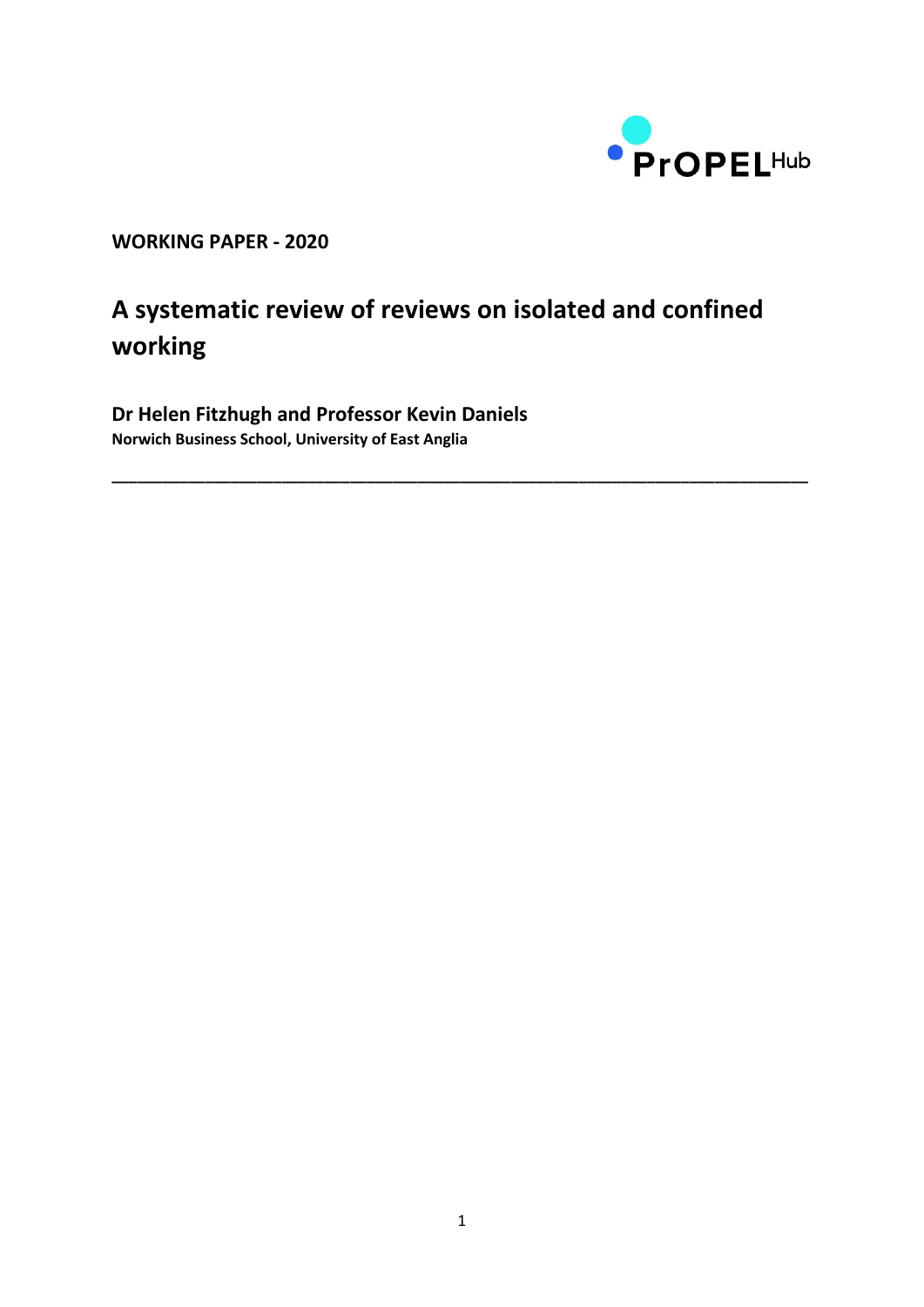

**WORKING PAPER - 2020**

# **A systematic review of reviews on isolated and confined working**

**\_\_\_\_\_\_\_\_\_\_\_\_\_\_\_\_\_\_\_\_\_\_\_\_\_\_\_\_\_\_\_\_\_\_\_\_\_\_\_\_\_\_\_\_\_\_\_\_\_\_\_\_\_\_\_\_\_\_\_\_\_\_\_\_\_\_\_\_\_\_\_\_\_\_\_\_\_\_\_\_\_\_**

**Dr Helen Fitzhugh and Professor Kevin Daniels Norwich Business School, University of East Anglia**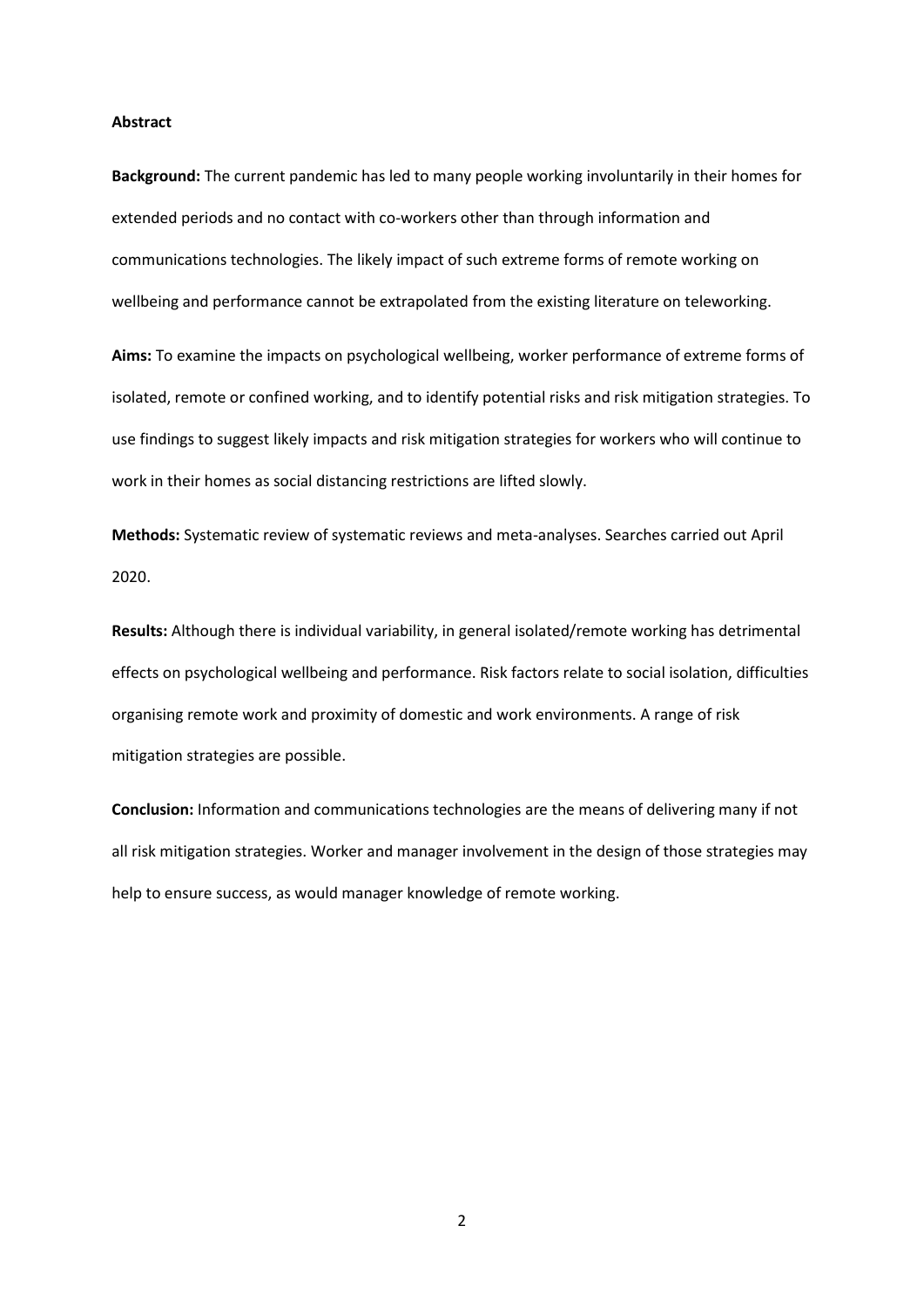### **Abstract**

**Background:** The current pandemic has led to many people working involuntarily in their homes for extended periods and no contact with co-workers other than through information and communications technologies. The likely impact of such extreme forms of remote working on wellbeing and performance cannot be extrapolated from the existing literature on teleworking.

**Aims:** To examine the impacts on psychological wellbeing, worker performance of extreme forms of isolated, remote or confined working, and to identify potential risks and risk mitigation strategies. To use findings to suggest likely impacts and risk mitigation strategies for workers who will continue to work in their homes as social distancing restrictions are lifted slowly.

**Methods:** Systematic review of systematic reviews and meta-analyses. Searches carried out April 2020.

**Results:** Although there is individual variability, in general isolated/remote working has detrimental effects on psychological wellbeing and performance. Risk factors relate to social isolation, difficulties organising remote work and proximity of domestic and work environments. A range of risk mitigation strategies are possible.

**Conclusion:** Information and communications technologies are the means of delivering many if not all risk mitigation strategies. Worker and manager involvement in the design of those strategies may help to ensure success, as would manager knowledge of remote working.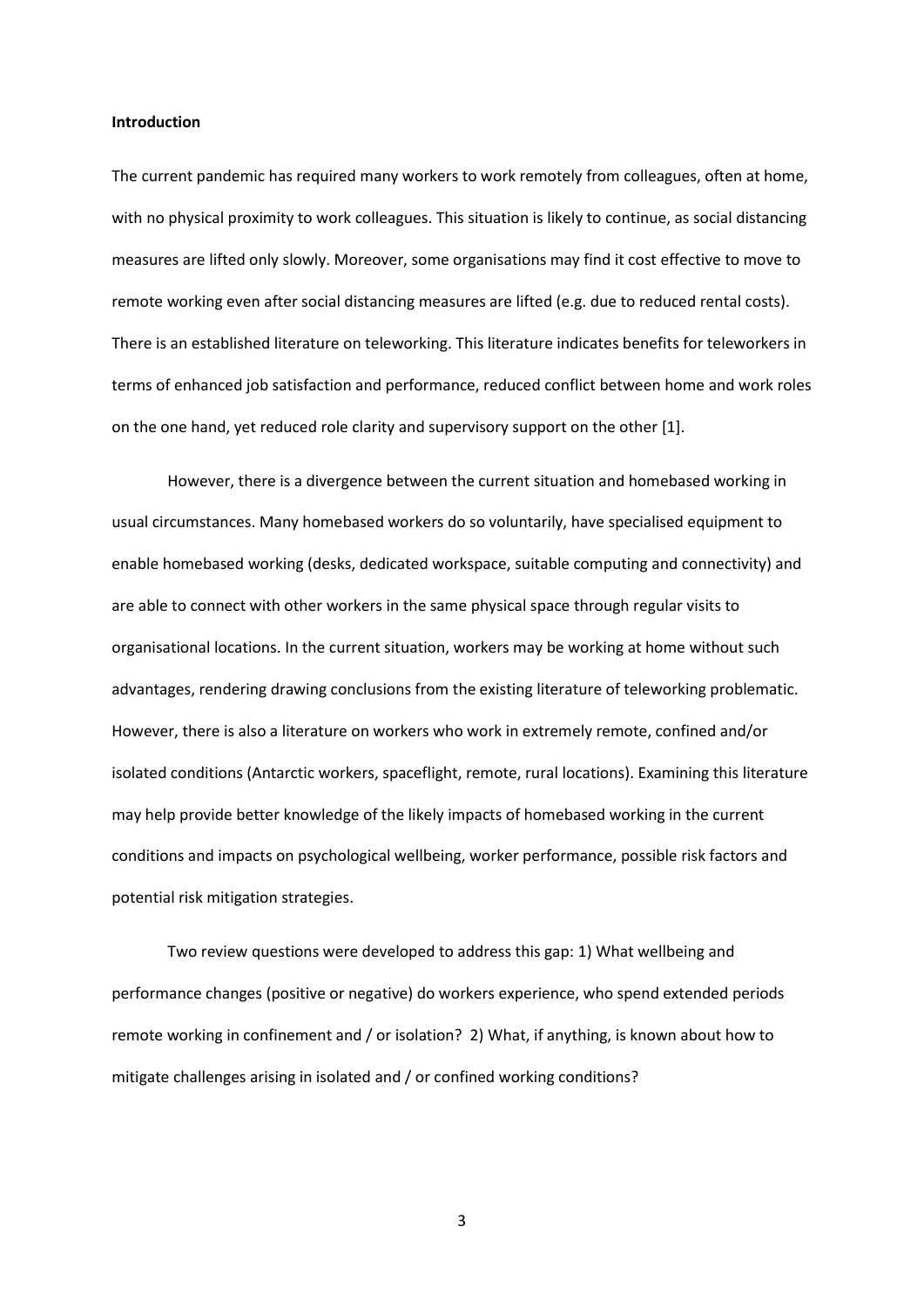#### **Introduction**

The current pandemic has required many workers to work remotely from colleagues, often at home, with no physical proximity to work colleagues. This situation is likely to continue, as social distancing measures are lifted only slowly. Moreover, some organisations may find it cost effective to move to remote working even after social distancing measures are lifted (e.g. due to reduced rental costs). There is an established literature on teleworking. This literature indicates benefits for teleworkers in terms of enhanced job satisfaction and performance, reduced conflict between home and work roles on the one hand, yet reduced role clarity and supervisory support on the other [1].

However, there is a divergence between the current situation and homebased working in usual circumstances. Many homebased workers do so voluntarily, have specialised equipment to enable homebased working (desks, dedicated workspace, suitable computing and connectivity) and are able to connect with other workers in the same physical space through regular visits to organisational locations. In the current situation, workers may be working at home without such advantages, rendering drawing conclusions from the existing literature of teleworking problematic. However, there is also a literature on workers who work in extremely remote, confined and/or isolated conditions (Antarctic workers, spaceflight, remote, rural locations). Examining this literature may help provide better knowledge of the likely impacts of homebased working in the current conditions and impacts on psychological wellbeing, worker performance, possible risk factors and potential risk mitigation strategies.

Two review questions were developed to address this gap: 1) What wellbeing and performance changes (positive or negative) do workers experience, who spend extended periods remote working in confinement and / or isolation? 2) What, if anything, is known about how to mitigate challenges arising in isolated and / or confined working conditions?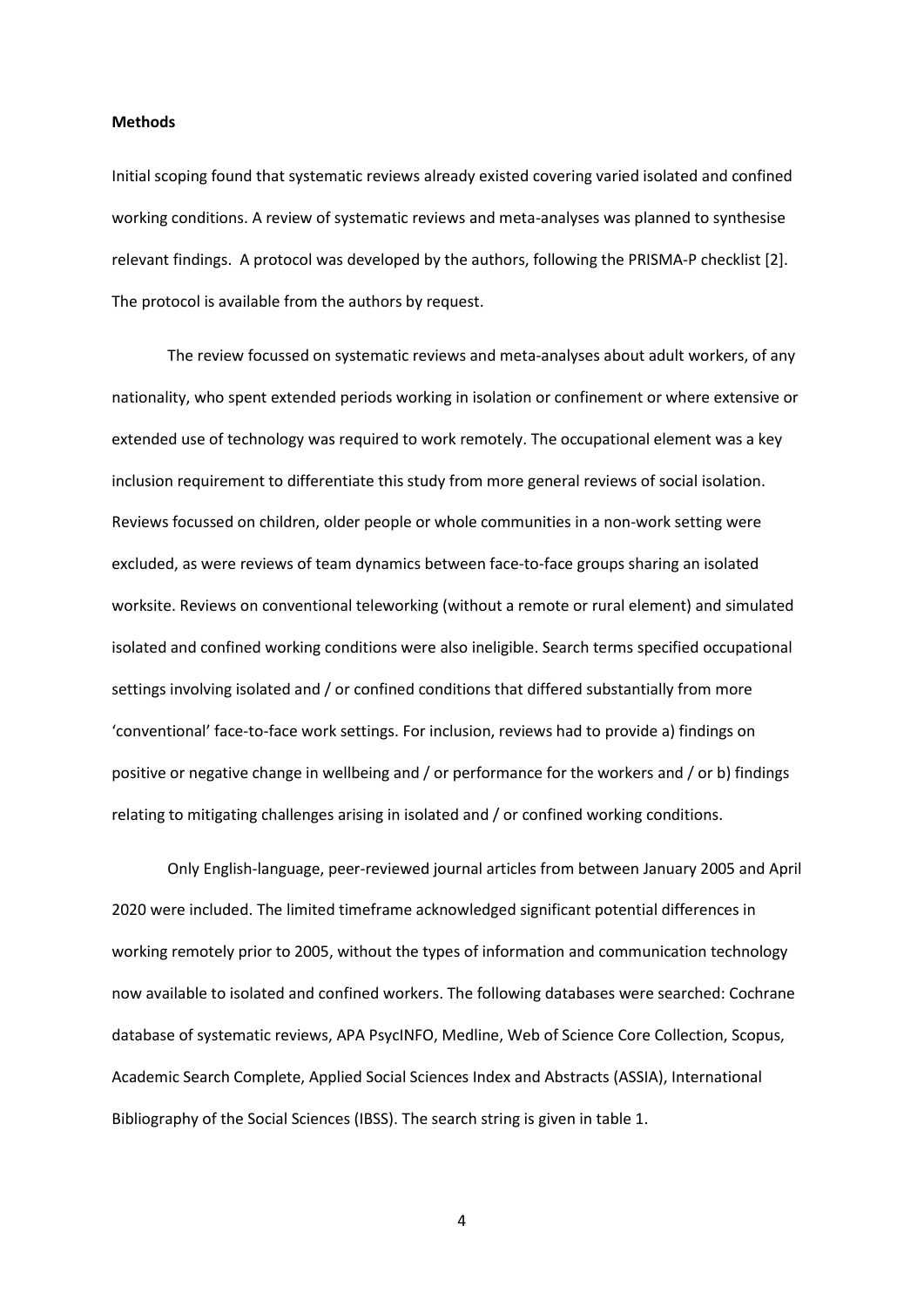#### **Methods**

Initial scoping found that systematic reviews already existed covering varied isolated and confined working conditions. A review of systematic reviews and meta-analyses was planned to synthesise relevant findings. A protocol was developed by the authors, following the PRISMA-P checklist [2]. The protocol is available from the authors by request.

The review focussed on systematic reviews and meta-analyses about adult workers, of any nationality, who spent extended periods working in isolation or confinement or where extensive or extended use of technology was required to work remotely. The occupational element was a key inclusion requirement to differentiate this study from more general reviews of social isolation. Reviews focussed on children, older people or whole communities in a non-work setting were excluded, as were reviews of team dynamics between face-to-face groups sharing an isolated worksite. Reviews on conventional teleworking (without a remote or rural element) and simulated isolated and confined working conditions were also ineligible. Search terms specified occupational settings involving isolated and / or confined conditions that differed substantially from more 'conventional' face-to-face work settings. For inclusion, reviews had to provide a) findings on positive or negative change in wellbeing and / or performance for the workers and / or b) findings relating to mitigating challenges arising in isolated and / or confined working conditions.

Only English-language, peer-reviewed journal articles from between January 2005 and April 2020 were included. The limited timeframe acknowledged significant potential differences in working remotely prior to 2005, without the types of information and communication technology now available to isolated and confined workers. The following databases were searched: Cochrane database of systematic reviews, APA PsycINFO, Medline, Web of Science Core Collection, Scopus, Academic Search Complete, Applied Social Sciences Index and Abstracts (ASSIA), International Bibliography of the Social Sciences (IBSS). The search string is given in table 1.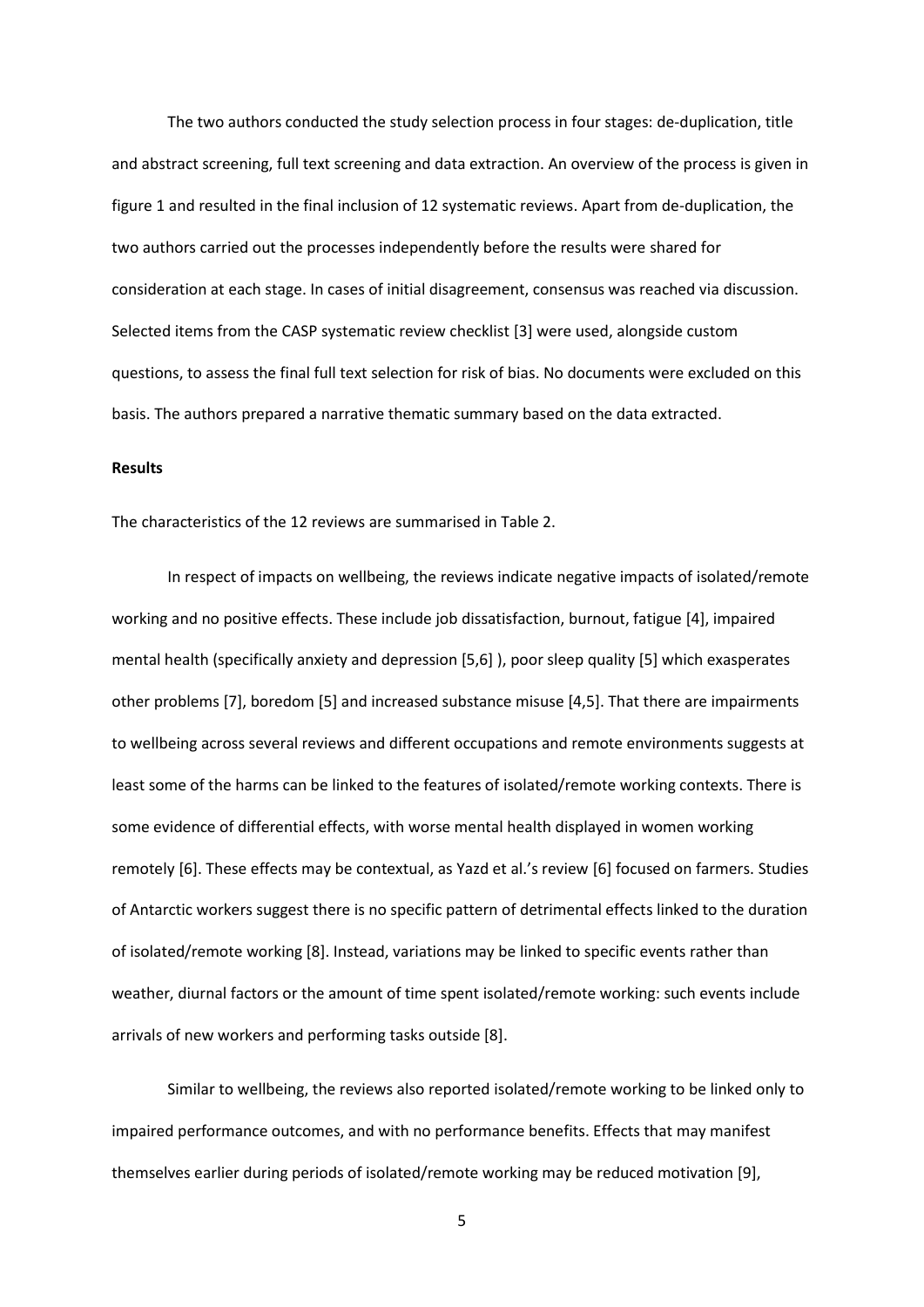The two authors conducted the study selection process in four stages: de-duplication, title and abstract screening, full text screening and data extraction. An overview of the process is given in figure 1 and resulted in the final inclusion of 12 systematic reviews. Apart from de-duplication, the two authors carried out the processes independently before the results were shared for consideration at each stage. In cases of initial disagreement, consensus was reached via discussion. Selected items from the CASP systematic review checklist [3] were used, alongside custom questions, to assess the final full text selection for risk of bias. No documents were excluded on this basis. The authors prepared a narrative thematic summary based on the data extracted.

# **Results**

The characteristics of the 12 reviews are summarised in Table 2.

In respect of impacts on wellbeing, the reviews indicate negative impacts of isolated/remote working and no positive effects. These include job dissatisfaction, burnout, fatigue [4], impaired mental health (specifically anxiety and depression [5,6] ), poor sleep quality [5] which exasperates other problems [7], boredom [5] and increased substance misuse [4,5]. That there are impairments to wellbeing across several reviews and different occupations and remote environments suggests at least some of the harms can be linked to the features of isolated/remote working contexts. There is some evidence of differential effects, with worse mental health displayed in women working remotely [6]. These effects may be contextual, as Yazd et al.'s review [6] focused on farmers. Studies of Antarctic workers suggest there is no specific pattern of detrimental effects linked to the duration of isolated/remote working [8]. Instead, variations may be linked to specific events rather than weather, diurnal factors or the amount of time spent isolated/remote working: such events include arrivals of new workers and performing tasks outside [8].

Similar to wellbeing, the reviews also reported isolated/remote working to be linked only to impaired performance outcomes, and with no performance benefits. Effects that may manifest themselves earlier during periods of isolated/remote working may be reduced motivation [9],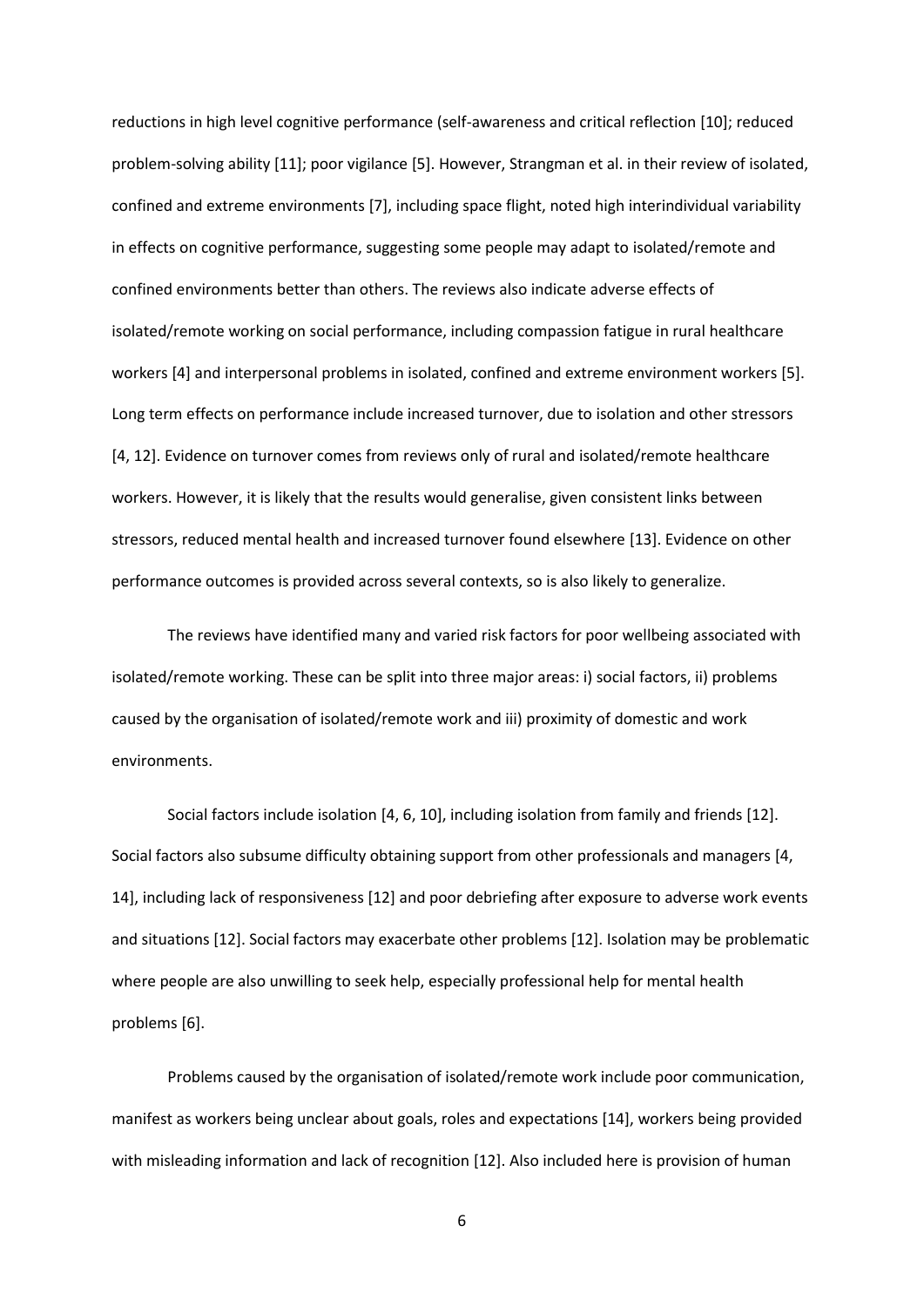reductions in high level cognitive performance (self-awareness and critical reflection [10]; reduced problem-solving ability [11]; poor vigilance [5]. However, Strangman et al. in their review of isolated, confined and extreme environments [7], including space flight, noted high interindividual variability in effects on cognitive performance, suggesting some people may adapt to isolated/remote and confined environments better than others. The reviews also indicate adverse effects of isolated/remote working on social performance, including compassion fatigue in rural healthcare workers [4] and interpersonal problems in isolated, confined and extreme environment workers [5]. Long term effects on performance include increased turnover, due to isolation and other stressors [4, 12]. Evidence on turnover comes from reviews only of rural and isolated/remote healthcare workers. However, it is likely that the results would generalise, given consistent links between stressors, reduced mental health and increased turnover found elsewhere [13]. Evidence on other performance outcomes is provided across several contexts, so is also likely to generalize.

The reviews have identified many and varied risk factors for poor wellbeing associated with isolated/remote working. These can be split into three major areas: i) social factors, ii) problems caused by the organisation of isolated/remote work and iii) proximity of domestic and work environments.

Social factors include isolation [4, 6, 10], including isolation from family and friends [12]. Social factors also subsume difficulty obtaining support from other professionals and managers [4, 14], including lack of responsiveness [12] and poor debriefing after exposure to adverse work events and situations [12]. Social factors may exacerbate other problems [12]. Isolation may be problematic where people are also unwilling to seek help, especially professional help for mental health problems [6].

Problems caused by the organisation of isolated/remote work include poor communication, manifest as workers being unclear about goals, roles and expectations [14], workers being provided with misleading information and lack of recognition [12]. Also included here is provision of human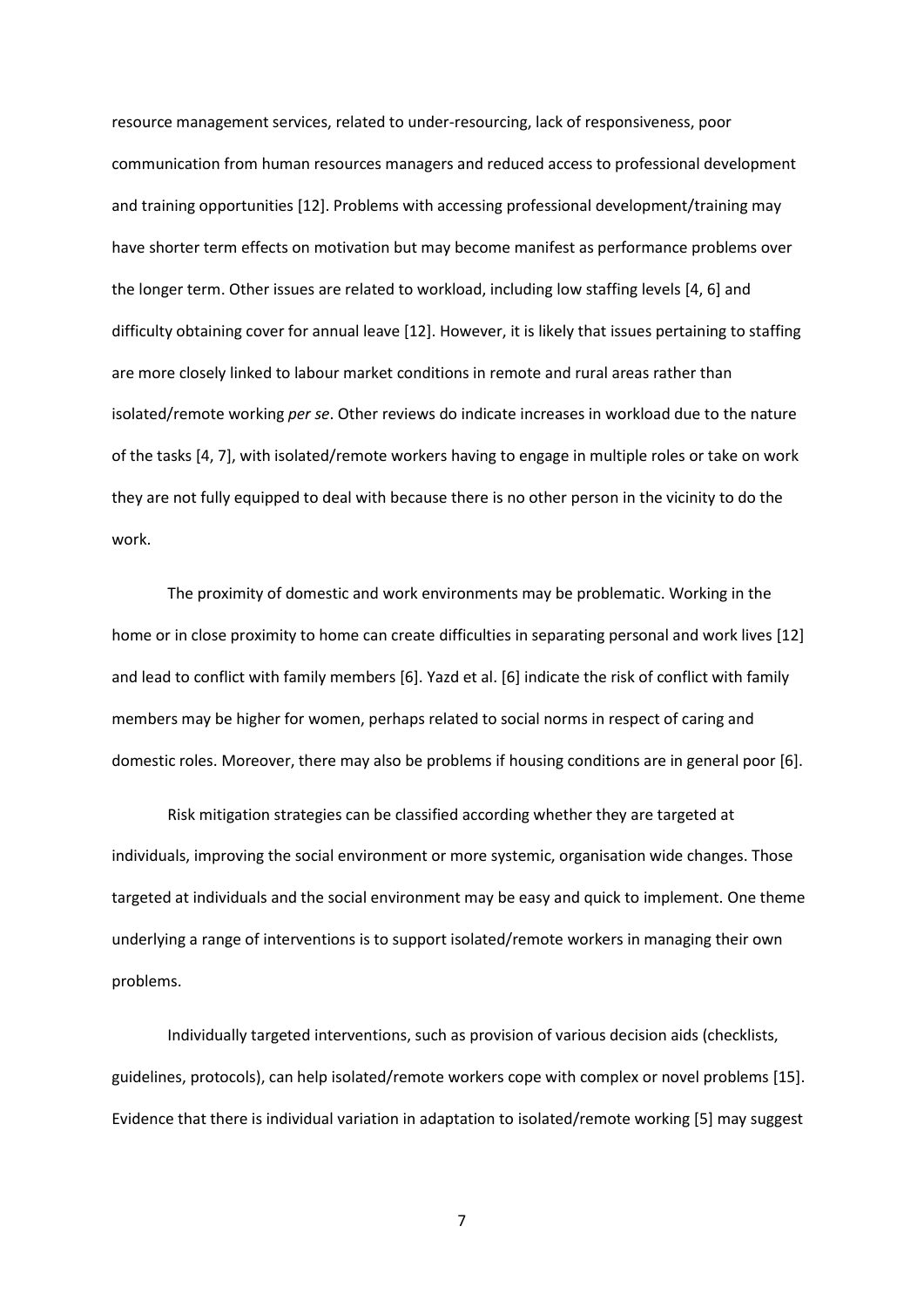resource management services, related to under-resourcing, lack of responsiveness, poor communication from human resources managers and reduced access to professional development and training opportunities [12]. Problems with accessing professional development/training may have shorter term effects on motivation but may become manifest as performance problems over the longer term. Other issues are related to workload, including low staffing levels [4, 6] and difficulty obtaining cover for annual leave [12]. However, it is likely that issues pertaining to staffing are more closely linked to labour market conditions in remote and rural areas rather than isolated/remote working *per se*. Other reviews do indicate increases in workload due to the nature of the tasks [4, 7], with isolated/remote workers having to engage in multiple roles or take on work they are not fully equipped to deal with because there is no other person in the vicinity to do the work.

The proximity of domestic and work environments may be problematic. Working in the home or in close proximity to home can create difficulties in separating personal and work lives [12] and lead to conflict with family members [6]. Yazd et al. [6] indicate the risk of conflict with family members may be higher for women, perhaps related to social norms in respect of caring and domestic roles. Moreover, there may also be problems if housing conditions are in general poor [6].

Risk mitigation strategies can be classified according whether they are targeted at individuals, improving the social environment or more systemic, organisation wide changes. Those targeted at individuals and the social environment may be easy and quick to implement. One theme underlying a range of interventions is to support isolated/remote workers in managing their own problems.

Individually targeted interventions, such as provision of various decision aids (checklists, guidelines, protocols), can help isolated/remote workers cope with complex or novel problems [15]. Evidence that there is individual variation in adaptation to isolated/remote working [5] may suggest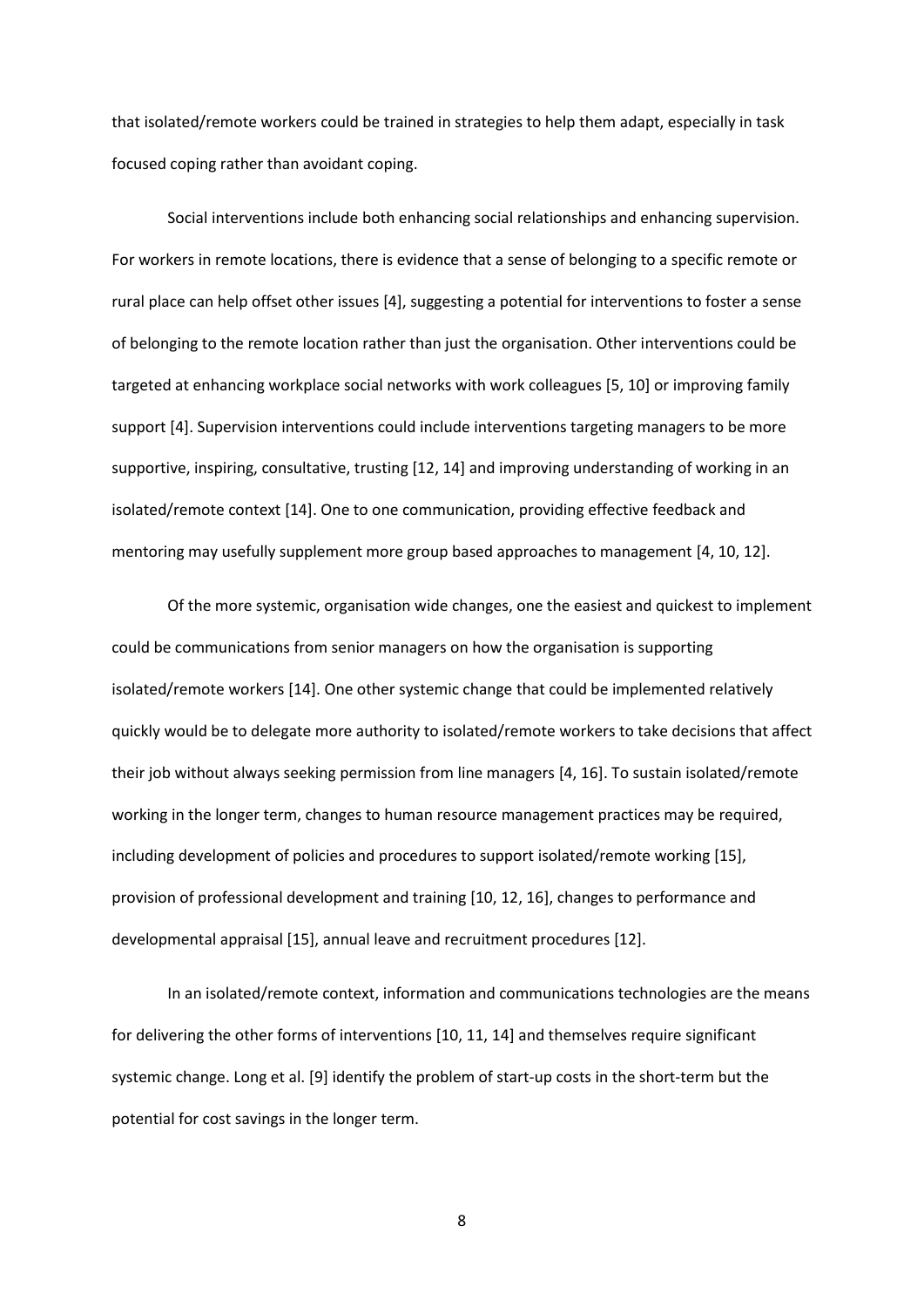that isolated/remote workers could be trained in strategies to help them adapt, especially in task focused coping rather than avoidant coping.

Social interventions include both enhancing social relationships and enhancing supervision. For workers in remote locations, there is evidence that a sense of belonging to a specific remote or rural place can help offset other issues [4], suggesting a potential for interventions to foster a sense of belonging to the remote location rather than just the organisation. Other interventions could be targeted at enhancing workplace social networks with work colleagues [5, 10] or improving family support [4]. Supervision interventions could include interventions targeting managers to be more supportive, inspiring, consultative, trusting [12, 14] and improving understanding of working in an isolated/remote context [14]. One to one communication, providing effective feedback and mentoring may usefully supplement more group based approaches to management [4, 10, 12].

Of the more systemic, organisation wide changes, one the easiest and quickest to implement could be communications from senior managers on how the organisation is supporting isolated/remote workers [14]. One other systemic change that could be implemented relatively quickly would be to delegate more authority to isolated/remote workers to take decisions that affect their job without always seeking permission from line managers [4, 16]. To sustain isolated/remote working in the longer term, changes to human resource management practices may be required, including development of policies and procedures to support isolated/remote working [15], provision of professional development and training [10, 12, 16], changes to performance and developmental appraisal [15], annual leave and recruitment procedures [12].

In an isolated/remote context, information and communications technologies are the means for delivering the other forms of interventions [10, 11, 14] and themselves require significant systemic change. Long et al. [9] identify the problem of start-up costs in the short-term but the potential for cost savings in the longer term.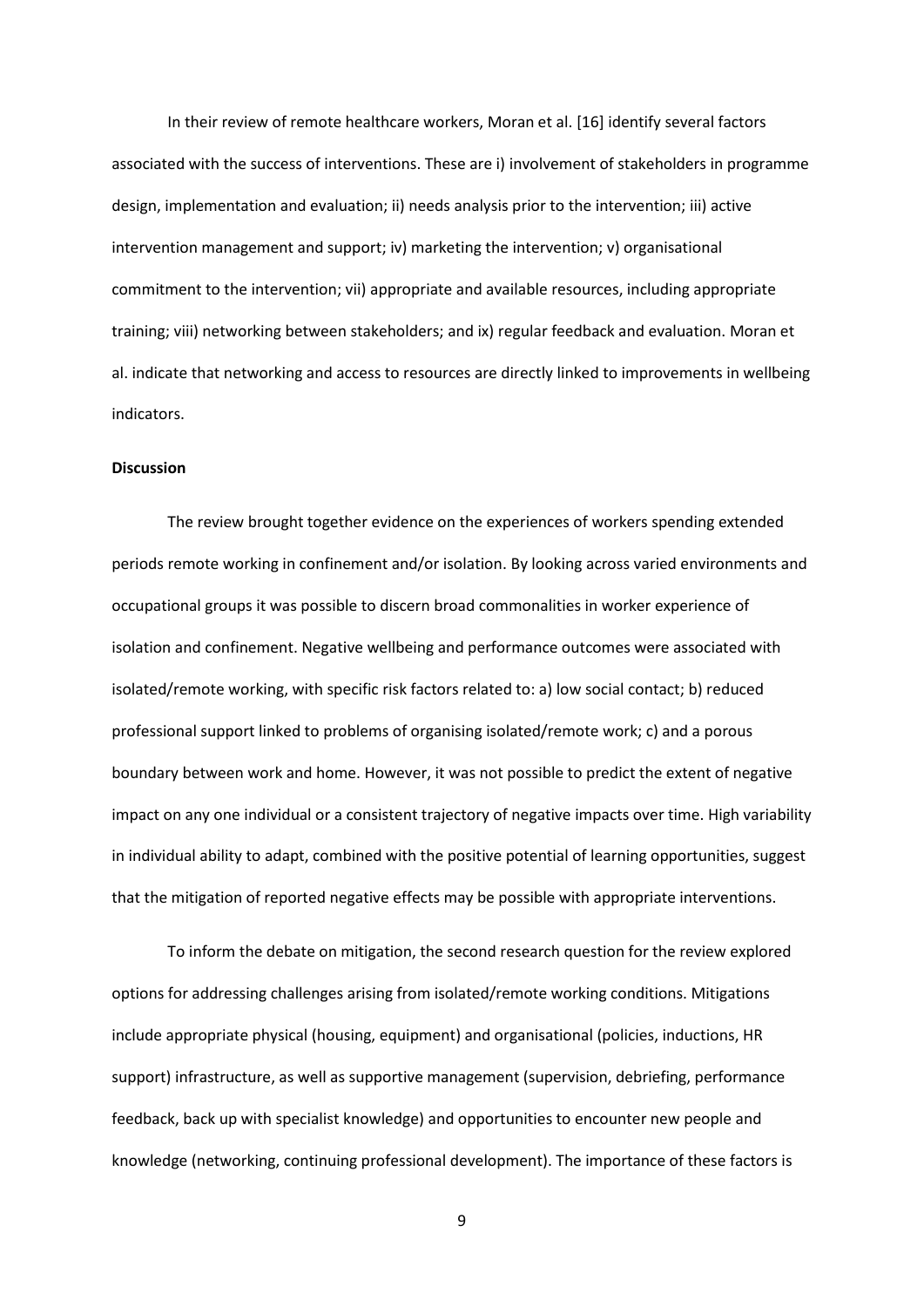In their review of remote healthcare workers, Moran et al. [16] identify several factors associated with the success of interventions. These are i) involvement of stakeholders in programme design, implementation and evaluation; ii) needs analysis prior to the intervention; iii) active intervention management and support; iv) marketing the intervention; v) organisational commitment to the intervention; vii) appropriate and available resources, including appropriate training; viii) networking between stakeholders; and ix) regular feedback and evaluation. Moran et al. indicate that networking and access to resources are directly linked to improvements in wellbeing indicators.

## **Discussion**

The review brought together evidence on the experiences of workers spending extended periods remote working in confinement and/or isolation. By looking across varied environments and occupational groups it was possible to discern broad commonalities in worker experience of isolation and confinement. Negative wellbeing and performance outcomes were associated with isolated/remote working, with specific risk factors related to: a) low social contact; b) reduced professional support linked to problems of organising isolated/remote work; c) and a porous boundary between work and home. However, it was not possible to predict the extent of negative impact on any one individual or a consistent trajectory of negative impacts over time. High variability in individual ability to adapt, combined with the positive potential of learning opportunities, suggest that the mitigation of reported negative effects may be possible with appropriate interventions.

To inform the debate on mitigation, the second research question for the review explored options for addressing challenges arising from isolated/remote working conditions. Mitigations include appropriate physical (housing, equipment) and organisational (policies, inductions, HR support) infrastructure, as well as supportive management (supervision, debriefing, performance feedback, back up with specialist knowledge) and opportunities to encounter new people and knowledge (networking, continuing professional development). The importance of these factors is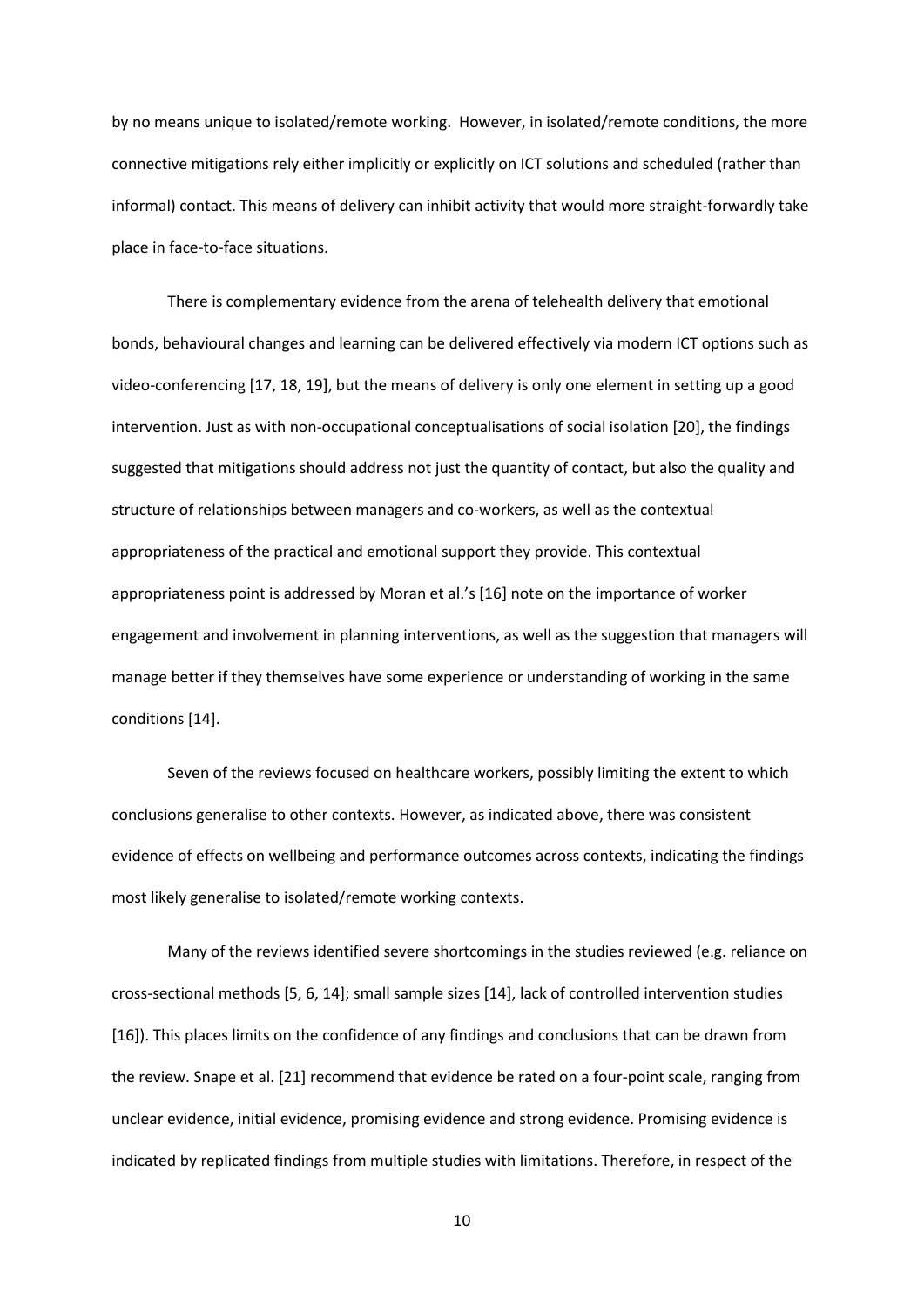by no means unique to isolated/remote working. However, in isolated/remote conditions, the more connective mitigations rely either implicitly or explicitly on ICT solutions and scheduled (rather than informal) contact. This means of delivery can inhibit activity that would more straight-forwardly take place in face-to-face situations.

There is complementary evidence from the arena of telehealth delivery that emotional bonds, behavioural changes and learning can be delivered effectively via modern ICT options such as video-conferencing [17, 18, 19], but the means of delivery is only one element in setting up a good intervention. Just as with non-occupational conceptualisations of social isolation [20], the findings suggested that mitigations should address not just the quantity of contact, but also the quality and structure of relationships between managers and co-workers, as well as the contextual appropriateness of the practical and emotional support they provide. This contextual appropriateness point is addressed by Moran et al.'s [16] note on the importance of worker engagement and involvement in planning interventions, as well as the suggestion that managers will manage better if they themselves have some experience or understanding of working in the same conditions [14].

Seven of the reviews focused on healthcare workers, possibly limiting the extent to which conclusions generalise to other contexts. However, as indicated above, there was consistent evidence of effects on wellbeing and performance outcomes across contexts, indicating the findings most likely generalise to isolated/remote working contexts.

Many of the reviews identified severe shortcomings in the studies reviewed (e.g. reliance on cross-sectional methods [5, 6, 14]; small sample sizes [14], lack of controlled intervention studies [16]). This places limits on the confidence of any findings and conclusions that can be drawn from the review. Snape et al. [21] recommend that evidence be rated on a four-point scale, ranging from unclear evidence, initial evidence, promising evidence and strong evidence. Promising evidence is indicated by replicated findings from multiple studies with limitations. Therefore, in respect of the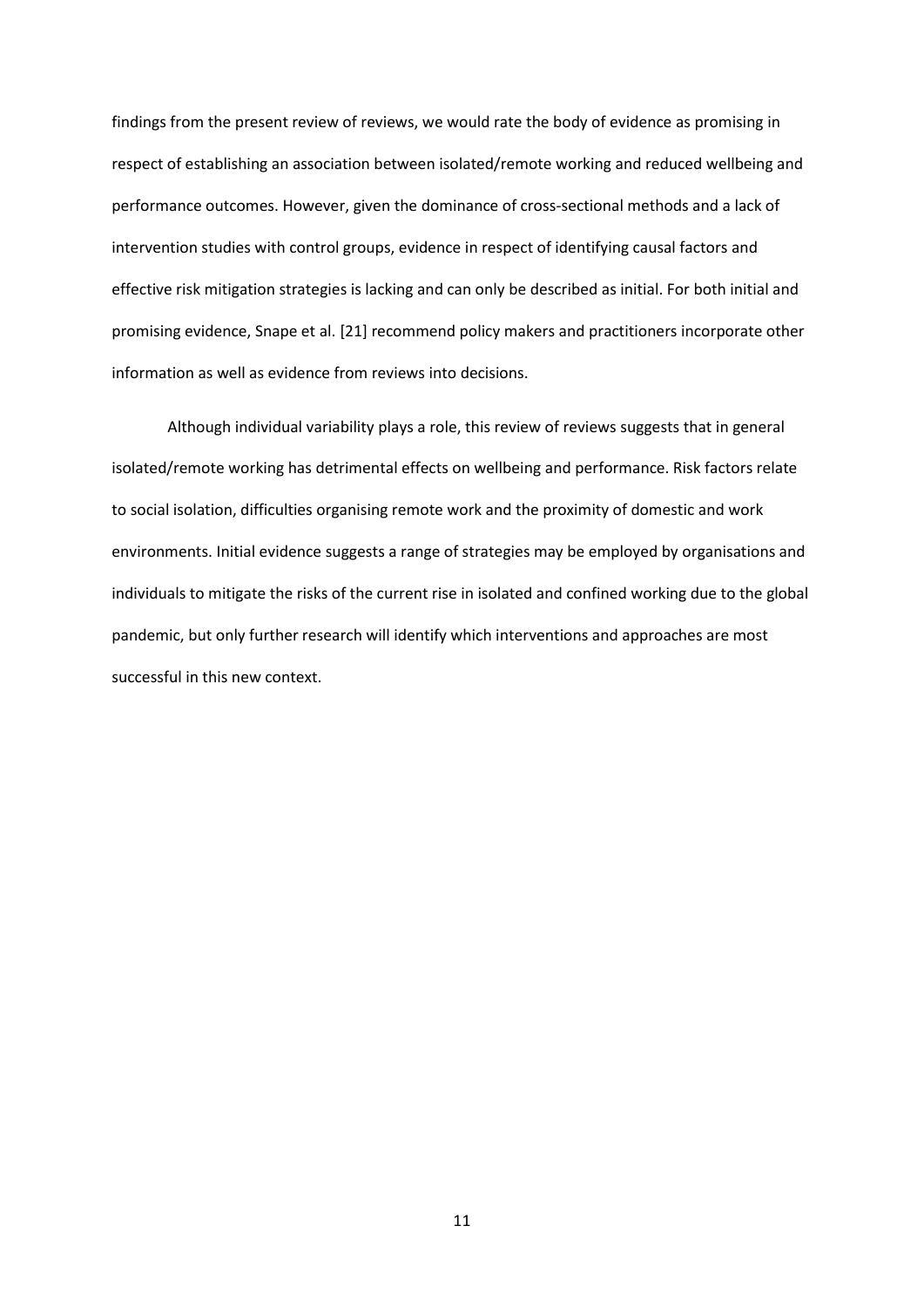findings from the present review of reviews, we would rate the body of evidence as promising in respect of establishing an association between isolated/remote working and reduced wellbeing and performance outcomes. However, given the dominance of cross-sectional methods and a lack of intervention studies with control groups, evidence in respect of identifying causal factors and effective risk mitigation strategies is lacking and can only be described as initial. For both initial and promising evidence, Snape et al. [21] recommend policy makers and practitioners incorporate other information as well as evidence from reviews into decisions.

Although individual variability plays a role, this review of reviews suggests that in general isolated/remote working has detrimental effects on wellbeing and performance. Risk factors relate to social isolation, difficulties organising remote work and the proximity of domestic and work environments. Initial evidence suggests a range of strategies may be employed by organisations and individuals to mitigate the risks of the current rise in isolated and confined working due to the global pandemic, but only further research will identify which interventions and approaches are most successful in this new context.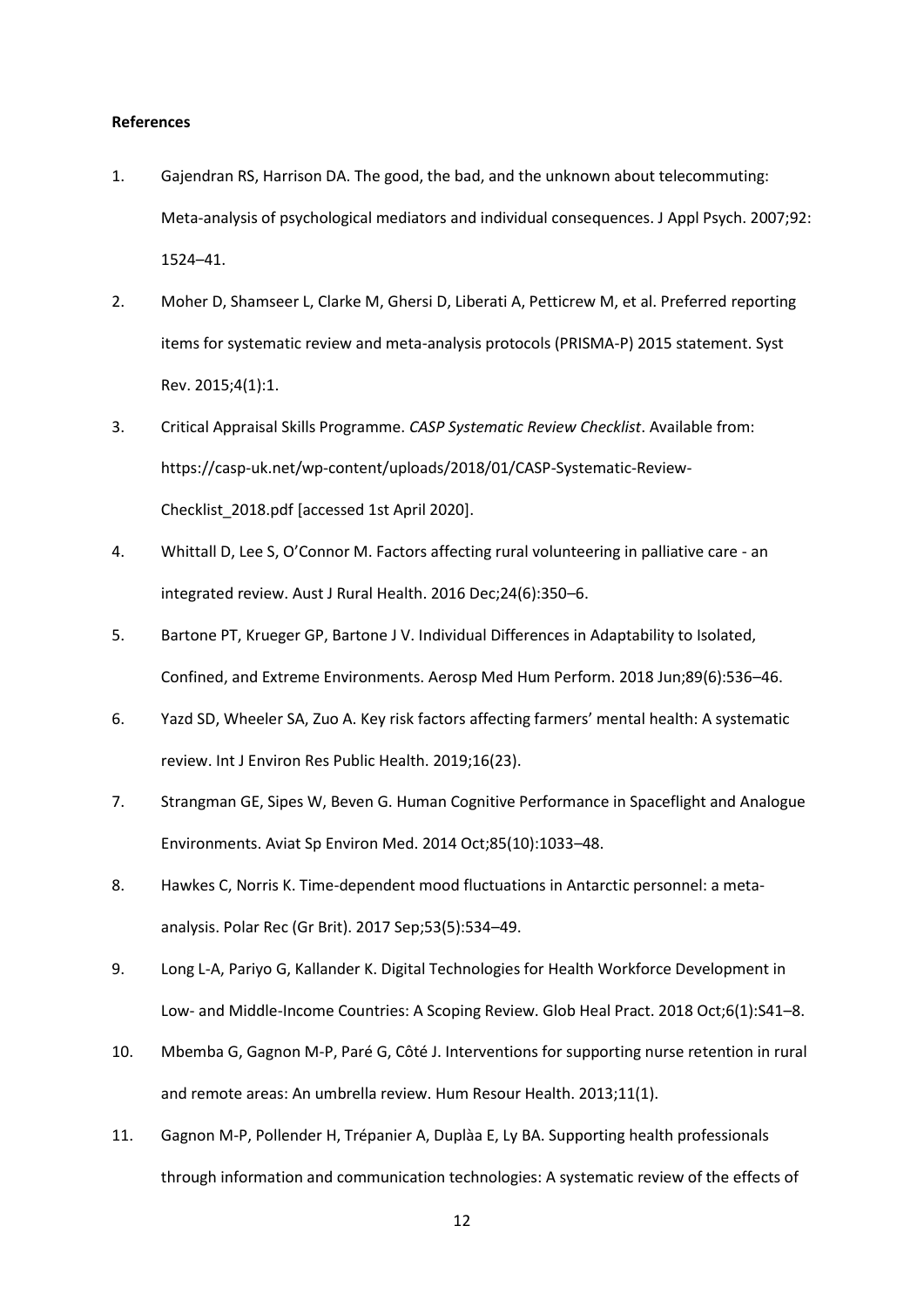### **References**

- 1. Gajendran RS, Harrison DA. The good, the bad, and the unknown about telecommuting: Meta-analysis of psychological mediators and individual consequences. J Appl Psych. 2007;92: 1524–41.
- 2. Moher D, Shamseer L, Clarke M, Ghersi D, Liberati A, Petticrew M, et al. Preferred reporting items for systematic review and meta-analysis protocols (PRISMA-P) 2015 statement. Syst Rev. 2015;4(1):1.
- 3. Critical Appraisal Skills Programme. *CASP Systematic Review Checklist*. Available from: https://casp-uk.net/wp-content/uploads/2018/01/CASP-Systematic-Review-Checklist\_2018.pdf [accessed 1st April 2020].
- 4. Whittall D, Lee S, O'Connor M. Factors affecting rural volunteering in palliative care an integrated review. Aust J Rural Health. 2016 Dec;24(6):350–6.
- 5. Bartone PT, Krueger GP, Bartone J V. Individual Differences in Adaptability to Isolated, Confined, and Extreme Environments. Aerosp Med Hum Perform. 2018 Jun;89(6):536–46.
- 6. Yazd SD, Wheeler SA, Zuo A. Key risk factors affecting farmers' mental health: A systematic review. Int J Environ Res Public Health. 2019;16(23).
- 7. Strangman GE, Sipes W, Beven G. Human Cognitive Performance in Spaceflight and Analogue Environments. Aviat Sp Environ Med. 2014 Oct;85(10):1033–48.
- 8. Hawkes C, Norris K. Time-dependent mood fluctuations in Antarctic personnel: a metaanalysis. Polar Rec (Gr Brit). 2017 Sep;53(5):534–49.
- 9. Long L-A, Pariyo G, Kallander K. Digital Technologies for Health Workforce Development in Low- and Middle-Income Countries: A Scoping Review. Glob Heal Pract. 2018 Oct;6(1):S41-8.
- 10. Mbemba G, Gagnon M-P, Paré G, Côté J. Interventions for supporting nurse retention in rural and remote areas: An umbrella review. Hum Resour Health. 2013;11(1).
- 11. Gagnon M-P, Pollender H, Trépanier A, Duplàa E, Ly BA. Supporting health professionals through information and communication technologies: A systematic review of the effects of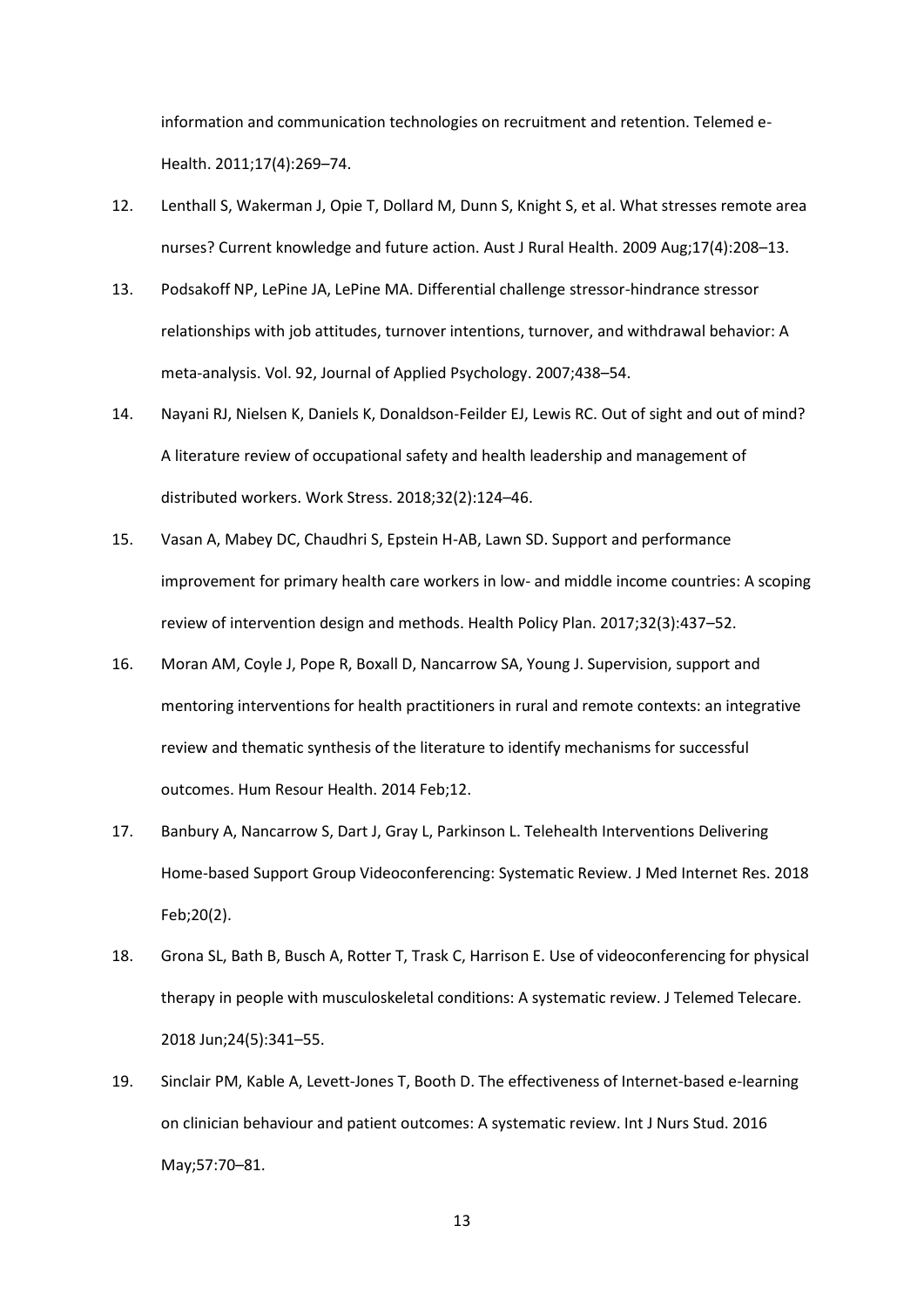information and communication technologies on recruitment and retention. Telemed e-Health. 2011;17(4):269–74.

- 12. Lenthall S, Wakerman J, Opie T, Dollard M, Dunn S, Knight S, et al. What stresses remote area nurses? Current knowledge and future action. Aust J Rural Health. 2009 Aug;17(4):208–13.
- 13. Podsakoff NP, LePine JA, LePine MA. Differential challenge stressor-hindrance stressor relationships with job attitudes, turnover intentions, turnover, and withdrawal behavior: A meta-analysis. Vol. 92, Journal of Applied Psychology. 2007;438–54.
- 14. Nayani RJ, Nielsen K, Daniels K, Donaldson-Feilder EJ, Lewis RC. Out of sight and out of mind? A literature review of occupational safety and health leadership and management of distributed workers. Work Stress. 2018;32(2):124–46.
- 15. Vasan A, Mabey DC, Chaudhri S, Epstein H-AB, Lawn SD. Support and performance improvement for primary health care workers in low- and middle income countries: A scoping review of intervention design and methods. Health Policy Plan. 2017;32(3):437–52.
- 16. Moran AM, Coyle J, Pope R, Boxall D, Nancarrow SA, Young J. Supervision, support and mentoring interventions for health practitioners in rural and remote contexts: an integrative review and thematic synthesis of the literature to identify mechanisms for successful outcomes. Hum Resour Health. 2014 Feb;12.
- 17. Banbury A, Nancarrow S, Dart J, Gray L, Parkinson L. Telehealth Interventions Delivering Home-based Support Group Videoconferencing: Systematic Review. J Med Internet Res. 2018 Feb;20(2).
- 18. Grona SL, Bath B, Busch A, Rotter T, Trask C, Harrison E. Use of videoconferencing for physical therapy in people with musculoskeletal conditions: A systematic review. J Telemed Telecare. 2018 Jun;24(5):341–55.
- 19. Sinclair PM, Kable A, Levett-Jones T, Booth D. The effectiveness of Internet-based e-learning on clinician behaviour and patient outcomes: A systematic review. Int J Nurs Stud. 2016 May;57:70–81.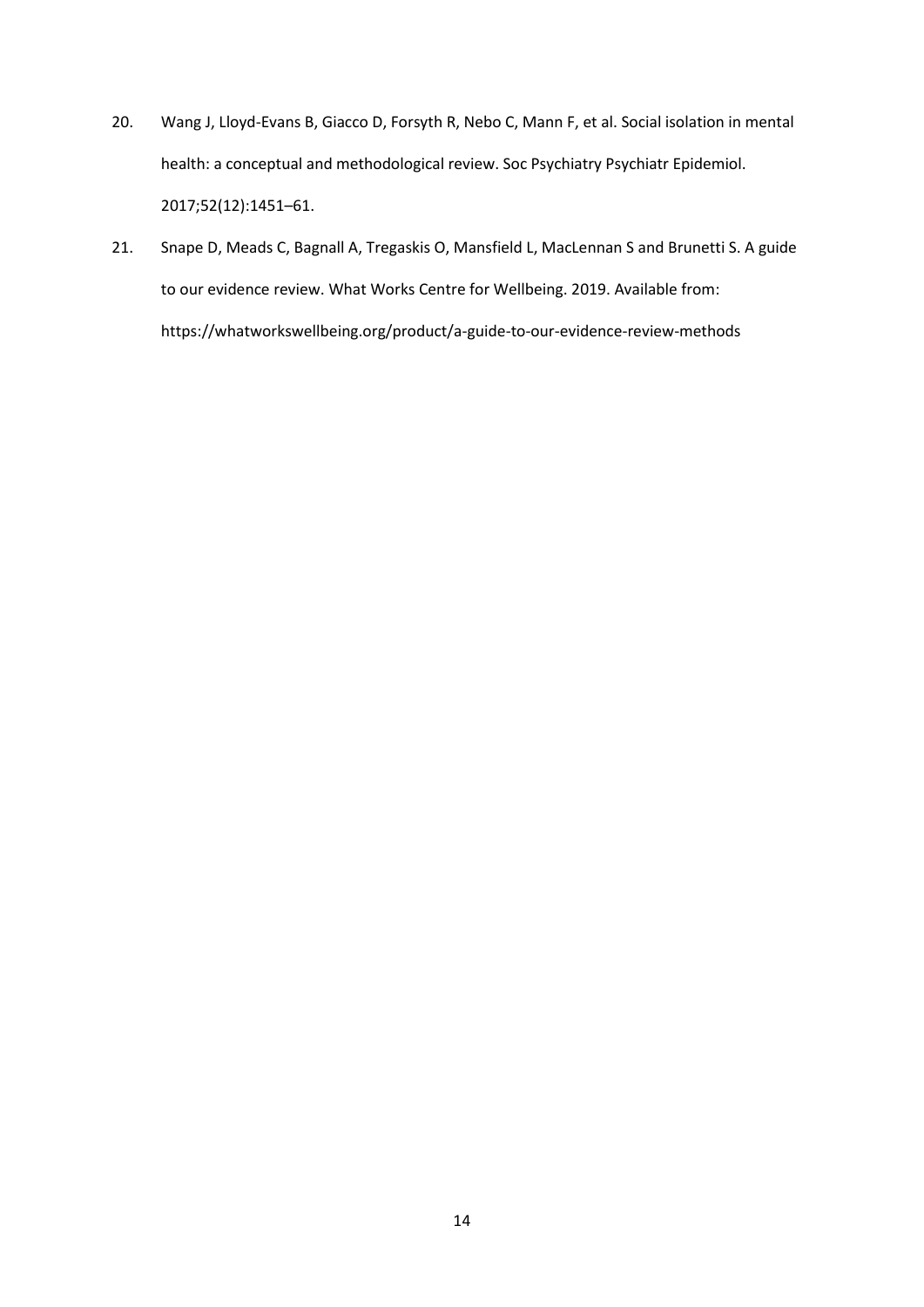- 20. Wang J, Lloyd-Evans B, Giacco D, Forsyth R, Nebo C, Mann F, et al. Social isolation in mental health: a conceptual and methodological review. Soc Psychiatry Psychiatr Epidemiol. 2017;52(12):1451–61.
- 21. Snape D, Meads C, Bagnall A, Tregaskis O, Mansfield L, MacLennan S and Brunetti S. A guide to our evidence review. What Works Centre for Wellbeing. 2019. Available from: https://whatworkswellbeing.org/product/a-guide-to-our-evidence-review-methods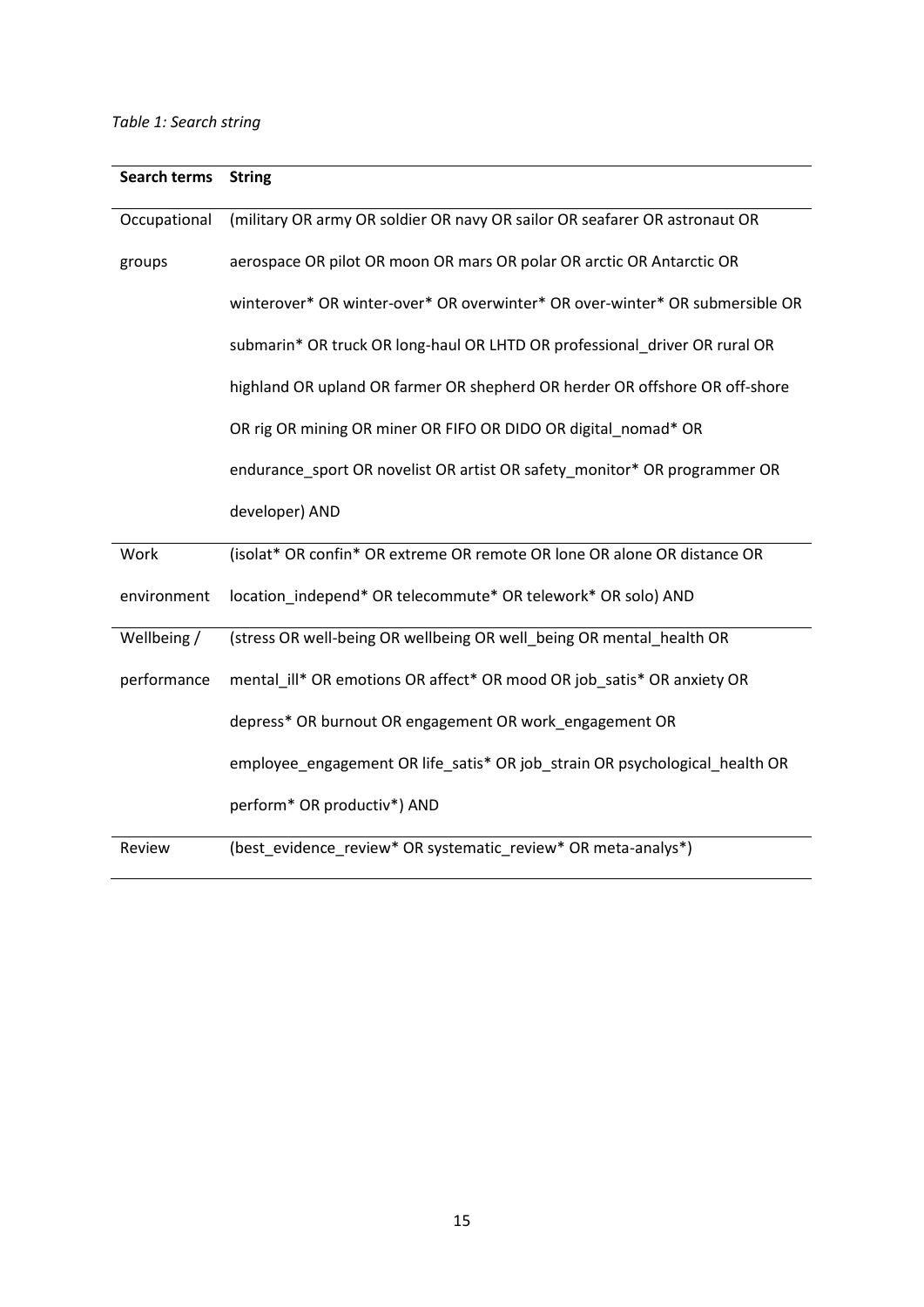# *Table 1: Search string*

| Search terms | <b>String</b>                                                                |  |  |  |  |
|--------------|------------------------------------------------------------------------------|--|--|--|--|
| Occupational | (military OR army OR soldier OR navy OR sailor OR seafarer OR astronaut OR   |  |  |  |  |
| groups       | aerospace OR pilot OR moon OR mars OR polar OR arctic OR Antarctic OR        |  |  |  |  |
|              | winterover* OR winter-over* OR overwinter* OR over-winter* OR submersible OR |  |  |  |  |
|              | submarin* OR truck OR long-haul OR LHTD OR professional driver OR rural OR   |  |  |  |  |
|              | highland OR upland OR farmer OR shepherd OR herder OR offshore OR off-shore  |  |  |  |  |
|              | OR rig OR mining OR miner OR FIFO OR DIDO OR digital_nomad* OR               |  |  |  |  |
|              | endurance_sport OR novelist OR artist OR safety_monitor* OR programmer OR    |  |  |  |  |
|              | developer) AND                                                               |  |  |  |  |
| Work         | (isolat* OR confin* OR extreme OR remote OR lone OR alone OR distance OR     |  |  |  |  |
| environment  | location_independ* OR telecommute* OR telework* OR solo) AND                 |  |  |  |  |
| Wellbeing /  | (stress OR well-being OR wellbeing OR well_being OR mental_health OR         |  |  |  |  |
| performance  | mental_ill* OR emotions OR affect* OR mood OR job_satis* OR anxiety OR       |  |  |  |  |
|              | depress* OR burnout OR engagement OR work_engagement OR                      |  |  |  |  |
|              | employee_engagement OR life_satis* OR job_strain OR psychological_health OR  |  |  |  |  |
|              | perform* OR productiv*) AND                                                  |  |  |  |  |
| Review       | (best evidence review* OR systematic review* OR meta-analys*)                |  |  |  |  |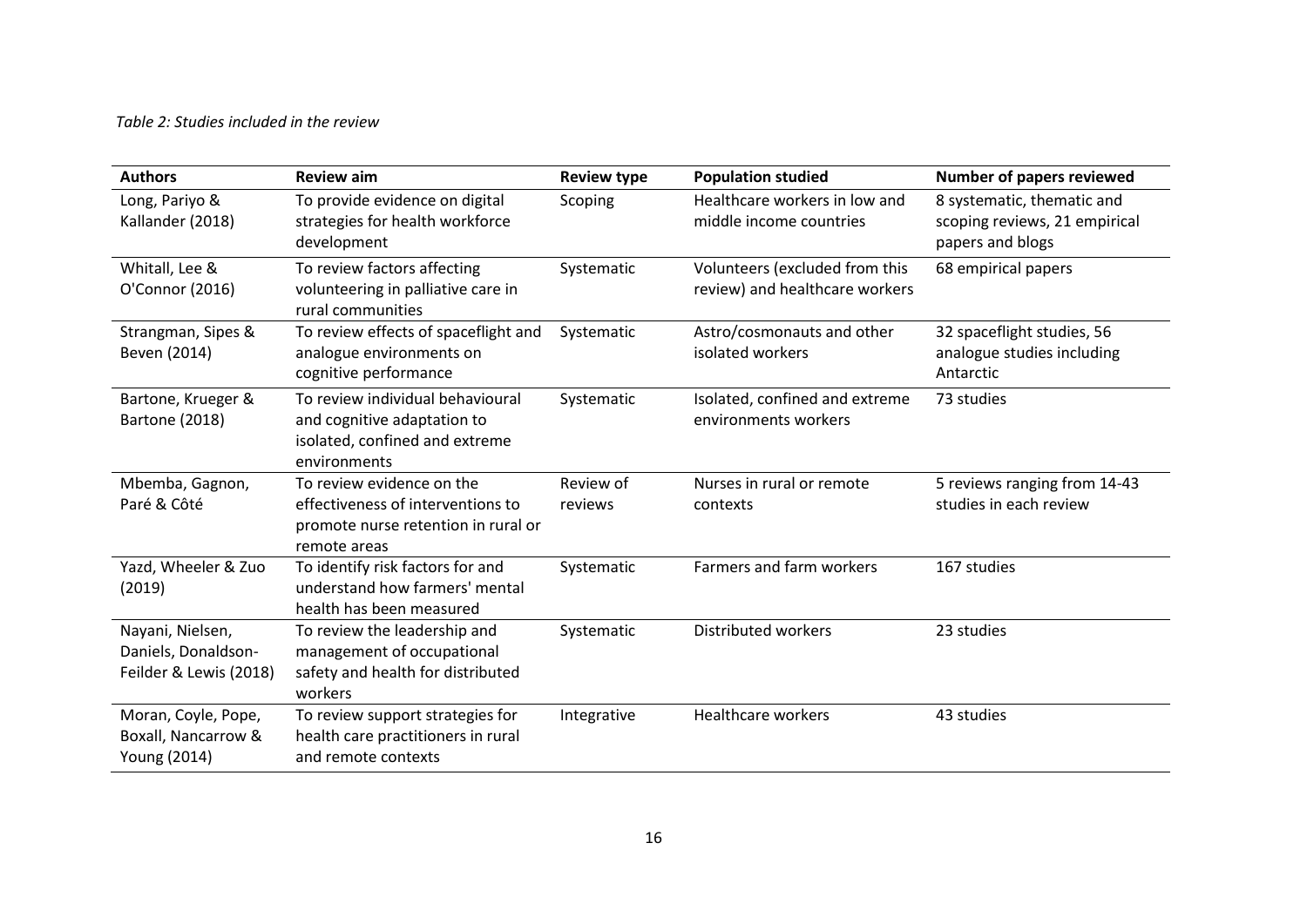# *Table 2: Studies included in the review*

| <b>Authors</b>                                                    | <b>Review aim</b>                                                                                                     | <b>Review type</b>   | <b>Population studied</b>                                        | Number of papers reviewed                                                       |
|-------------------------------------------------------------------|-----------------------------------------------------------------------------------------------------------------------|----------------------|------------------------------------------------------------------|---------------------------------------------------------------------------------|
| Long, Pariyo &<br>Kallander (2018)                                | To provide evidence on digital<br>strategies for health workforce<br>development                                      | Scoping              | Healthcare workers in low and<br>middle income countries         | 8 systematic, thematic and<br>scoping reviews, 21 empirical<br>papers and blogs |
| Whitall, Lee &<br>O'Connor (2016)                                 | To review factors affecting<br>volunteering in palliative care in<br>rural communities                                | Systematic           | Volunteers (excluded from this<br>review) and healthcare workers | 68 empirical papers                                                             |
| Strangman, Sipes &<br>Beven (2014)                                | To review effects of spaceflight and<br>analogue environments on<br>cognitive performance                             | Systematic           | Astro/cosmonauts and other<br>isolated workers                   | 32 spaceflight studies, 56<br>analogue studies including<br>Antarctic           |
| Bartone, Krueger &<br><b>Bartone (2018)</b>                       | To review individual behavioural<br>and cognitive adaptation to<br>isolated, confined and extreme<br>environments     | Systematic           | Isolated, confined and extreme<br>environments workers           | 73 studies                                                                      |
| Mbemba, Gagnon,<br>Paré & Côté                                    | To review evidence on the<br>effectiveness of interventions to<br>promote nurse retention in rural or<br>remote areas | Review of<br>reviews | Nurses in rural or remote<br>contexts                            | 5 reviews ranging from 14-43<br>studies in each review                          |
| Yazd, Wheeler & Zuo<br>(2019)                                     | To identify risk factors for and<br>understand how farmers' mental<br>health has been measured                        | Systematic           | Farmers and farm workers                                         | 167 studies                                                                     |
| Nayani, Nielsen,<br>Daniels, Donaldson-<br>Feilder & Lewis (2018) | To review the leadership and<br>management of occupational<br>safety and health for distributed<br>workers            | Systematic           | Distributed workers                                              | 23 studies                                                                      |
| Moran, Coyle, Pope,<br>Boxall, Nancarrow &<br>Young (2014)        | To review support strategies for<br>health care practitioners in rural<br>and remote contexts                         | Integrative          | <b>Healthcare workers</b>                                        | 43 studies                                                                      |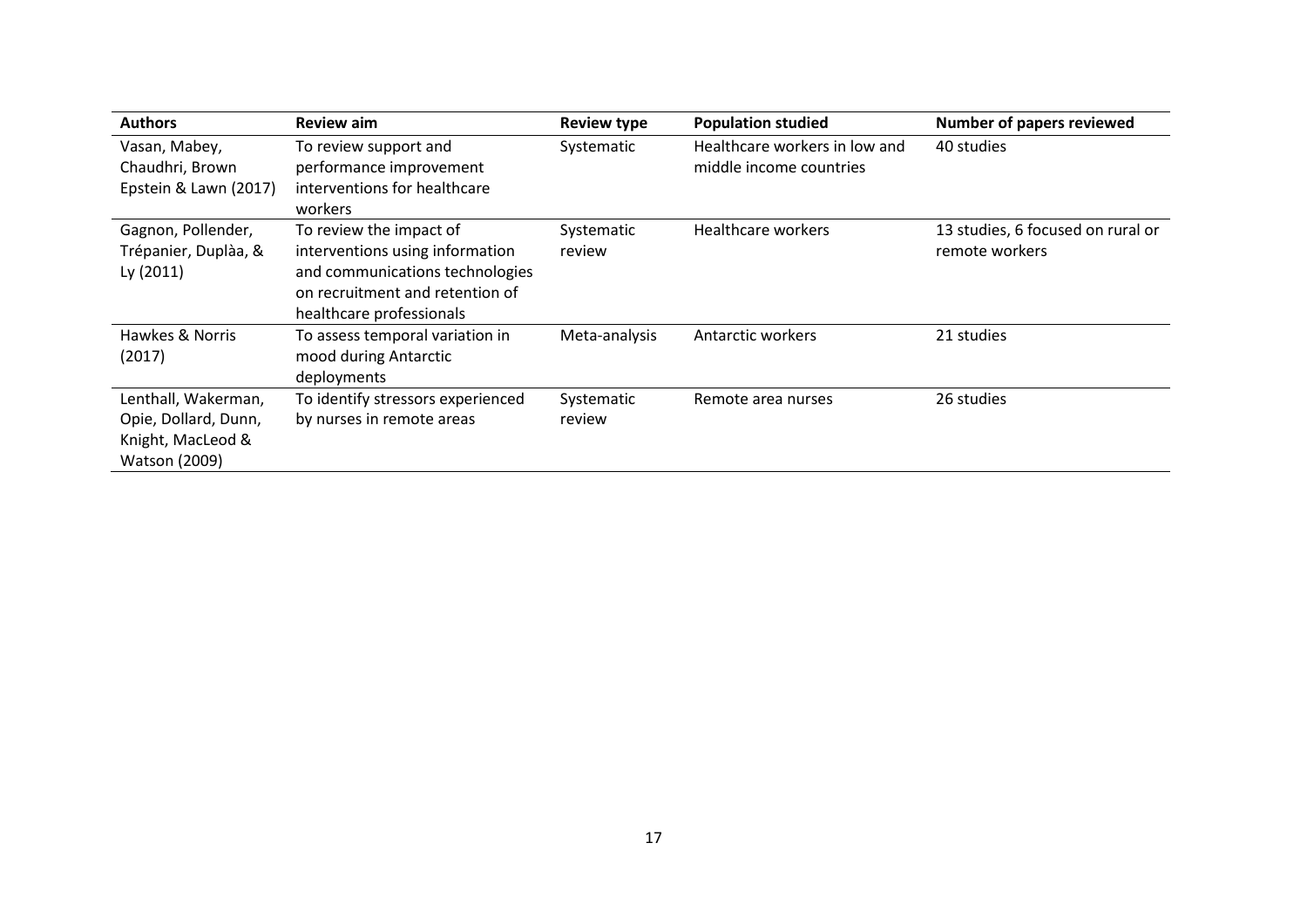| <b>Authors</b>                                                                           | <b>Review aim</b>                                                                                                                                            | <b>Review type</b>   | <b>Population studied</b>                                | <b>Number of papers reviewed</b>                    |
|------------------------------------------------------------------------------------------|--------------------------------------------------------------------------------------------------------------------------------------------------------------|----------------------|----------------------------------------------------------|-----------------------------------------------------|
| Vasan, Mabey,<br>Chaudhri, Brown<br>Epstein & Lawn (2017)                                | To review support and<br>performance improvement<br>interventions for healthcare<br>workers                                                                  | Systematic           | Healthcare workers in low and<br>middle income countries | 40 studies                                          |
| Gagnon, Pollender,<br>Trépanier, Duplàa, &<br>Ly (2011)                                  | To review the impact of<br>interventions using information<br>and communications technologies<br>on recruitment and retention of<br>healthcare professionals | Systematic<br>review | Healthcare workers                                       | 13 studies, 6 focused on rural or<br>remote workers |
| Hawkes & Norris<br>(2017)                                                                | To assess temporal variation in<br>mood during Antarctic<br>deployments                                                                                      | Meta-analysis        | <b>Antarctic workers</b>                                 | 21 studies                                          |
| Lenthall, Wakerman,<br>Opie, Dollard, Dunn,<br>Knight, MacLeod &<br><b>Watson (2009)</b> | To identify stressors experienced<br>by nurses in remote areas                                                                                               | Systematic<br>review | Remote area nurses                                       | 26 studies                                          |